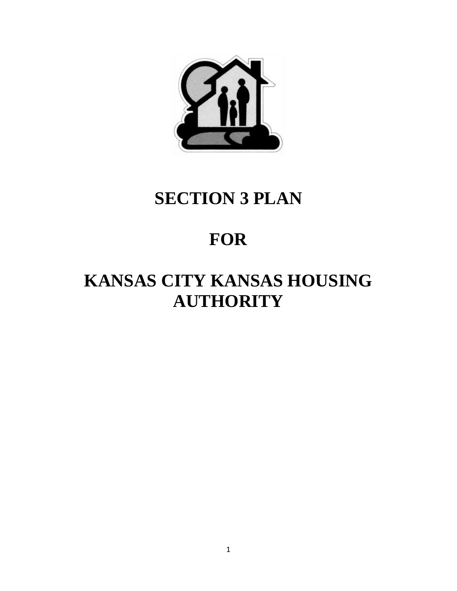

# **SECTION 3 PLAN**

## **FOR**

# **KANSAS CITY KANSAS HOUSING AUTHORITY**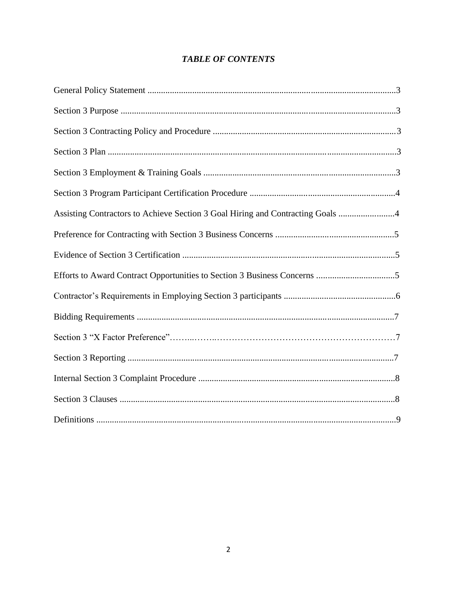## **TABLE OF CONTENTS**

| Assisting Contractors to Achieve Section 3 Goal Hiring and Contracting Goals 4 |  |
|--------------------------------------------------------------------------------|--|
|                                                                                |  |
|                                                                                |  |
|                                                                                |  |
|                                                                                |  |
|                                                                                |  |
|                                                                                |  |
|                                                                                |  |
|                                                                                |  |
|                                                                                |  |
|                                                                                |  |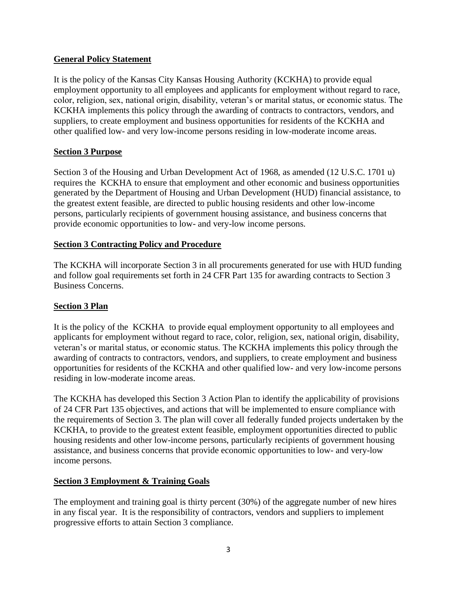## **General Policy Statement**

It is the policy of the Kansas City Kansas Housing Authority (KCKHA) to provide equal employment opportunity to all employees and applicants for employment without regard to race, color, religion, sex, national origin, disability, veteran's or marital status, or economic status. The KCKHA implements this policy through the awarding of contracts to contractors, vendors, and suppliers, to create employment and business opportunities for residents of the KCKHA and other qualified low- and very low-income persons residing in low-moderate income areas.

## **Section 3 Purpose**

Section 3 of the Housing and Urban Development Act of 1968, as amended (12 U.S.C. 1701 u) requires the KCKHA to ensure that employment and other economic and business opportunities generated by the Department of Housing and Urban Development (HUD) financial assistance, to the greatest extent feasible, are directed to public housing residents and other low-income persons, particularly recipients of government housing assistance, and business concerns that provide economic opportunities to low- and very-low income persons.

### **Section 3 Contracting Policy and Procedure**

The KCKHA will incorporate Section 3 in all procurements generated for use with HUD funding and follow goal requirements set forth in 24 CFR Part 135 for awarding contracts to Section 3 Business Concerns.

#### **Section 3 Plan**

It is the policy of the KCKHA to provide equal employment opportunity to all employees and applicants for employment without regard to race, color, religion, sex, national origin, disability, veteran's or marital status, or economic status. The KCKHA implements this policy through the awarding of contracts to contractors, vendors, and suppliers, to create employment and business opportunities for residents of the KCKHA and other qualified low- and very low-income persons residing in low-moderate income areas.

The KCKHA has developed this Section 3 Action Plan to identify the applicability of provisions of 24 CFR Part 135 objectives, and actions that will be implemented to ensure compliance with the requirements of Section 3. The plan will cover all federally funded projects undertaken by the KCKHA, to provide to the greatest extent feasible, employment opportunities directed to public housing residents and other low-income persons, particularly recipients of government housing assistance, and business concerns that provide economic opportunities to low- and very-low income persons.

#### **Section 3 Employment & Training Goals**

The employment and training goal is thirty percent (30%) of the aggregate number of new hires in any fiscal year. It is the responsibility of contractors, vendors and suppliers to implement progressive efforts to attain Section 3 compliance.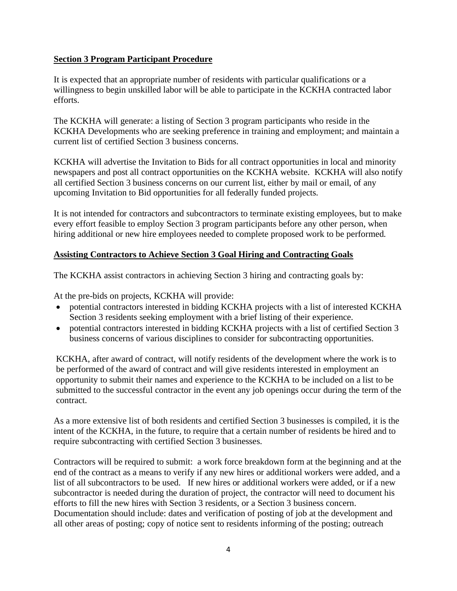## **Section 3 Program Participant Procedure**

It is expected that an appropriate number of residents with particular qualifications or a willingness to begin unskilled labor will be able to participate in the KCKHA contracted labor efforts.

The KCKHA will generate: a listing of Section 3 program participants who reside in the KCKHA Developments who are seeking preference in training and employment; and maintain a current list of certified Section 3 business concerns.

KCKHA will advertise the Invitation to Bids for all contract opportunities in local and minority newspapers and post all contract opportunities on the KCKHA website. KCKHA will also notify all certified Section 3 business concerns on our current list, either by mail or email, of any upcoming Invitation to Bid opportunities for all federally funded projects.

It is not intended for contractors and subcontractors to terminate existing employees, but to make every effort feasible to employ Section 3 program participants before any other person, when hiring additional or new hire employees needed to complete proposed work to be performed.

## **Assisting Contractors to Achieve Section 3 Goal Hiring and Contracting Goals**

The KCKHA assist contractors in achieving Section 3 hiring and contracting goals by:

At the pre-bids on projects, KCKHA will provide:

- potential contractors interested in bidding KCKHA projects with a list of interested KCKHA Section 3 residents seeking employment with a brief listing of their experience.
- potential contractors interested in bidding KCKHA projects with a list of certified Section 3 business concerns of various disciplines to consider for subcontracting opportunities.

KCKHA, after award of contract, will notify residents of the development where the work is to be performed of the award of contract and will give residents interested in employment an opportunity to submit their names and experience to the KCKHA to be included on a list to be submitted to the successful contractor in the event any job openings occur during the term of the contract.

As a more extensive list of both residents and certified Section 3 businesses is compiled, it is the intent of the KCKHA, in the future, to require that a certain number of residents be hired and to require subcontracting with certified Section 3 businesses.

Contractors will be required to submit: a work force breakdown form at the beginning and at the end of the contract as a means to verify if any new hires or additional workers were added, and a list of all subcontractors to be used. If new hires or additional workers were added, or if a new subcontractor is needed during the duration of project, the contractor will need to document his efforts to fill the new hires with Section 3 residents, or a Section 3 business concern. Documentation should include: dates and verification of posting of job at the development and all other areas of posting; copy of notice sent to residents informing of the posting; outreach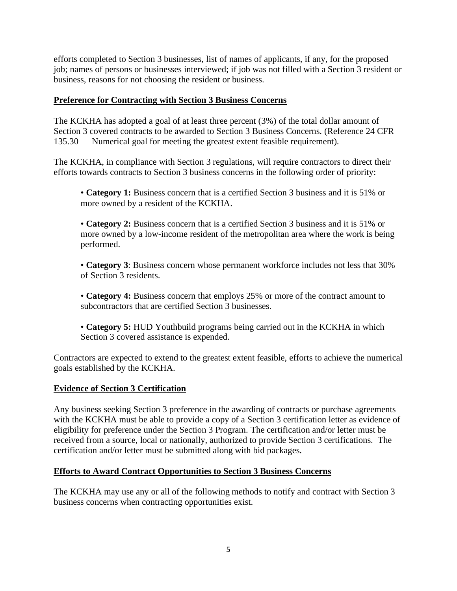efforts completed to Section 3 businesses, list of names of applicants, if any, for the proposed job; names of persons or businesses interviewed; if job was not filled with a Section 3 resident or business, reasons for not choosing the resident or business.

### **Preference for Contracting with Section 3 Business Concerns**

The KCKHA has adopted a goal of at least three percent (3%) of the total dollar amount of Section 3 covered contracts to be awarded to Section 3 Business Concerns. (Reference 24 CFR 135.30 — Numerical goal for meeting the greatest extent feasible requirement).

The KCKHA, in compliance with Section 3 regulations, will require contractors to direct their efforts towards contracts to Section 3 business concerns in the following order of priority:

• **Category 1:** Business concern that is a certified Section 3 business and it is 51% or more owned by a resident of the KCKHA.

• **Category 2:** Business concern that is a certified Section 3 business and it is 51% or more owned by a low-income resident of the metropolitan area where the work is being performed.

• **Category 3**: Business concern whose permanent workforce includes not less that 30% of Section 3 residents.

• **Category 4:** Business concern that employs 25% or more of the contract amount to subcontractors that are certified Section 3 businesses.

• **Category 5:** HUD Youthbuild programs being carried out in the KCKHA in which Section 3 covered assistance is expended.

Contractors are expected to extend to the greatest extent feasible, efforts to achieve the numerical goals established by the KCKHA.

#### **Evidence of Section 3 Certification**

Any business seeking Section 3 preference in the awarding of contracts or purchase agreements with the KCKHA must be able to provide a copy of a Section 3 certification letter as evidence of eligibility for preference under the Section 3 Program. The certification and/or letter must be received from a source, local or nationally, authorized to provide Section 3 certifications. The certification and/or letter must be submitted along with bid packages.

#### **Efforts to Award Contract Opportunities to Section 3 Business Concerns**

The KCKHA may use any or all of the following methods to notify and contract with Section 3 business concerns when contracting opportunities exist.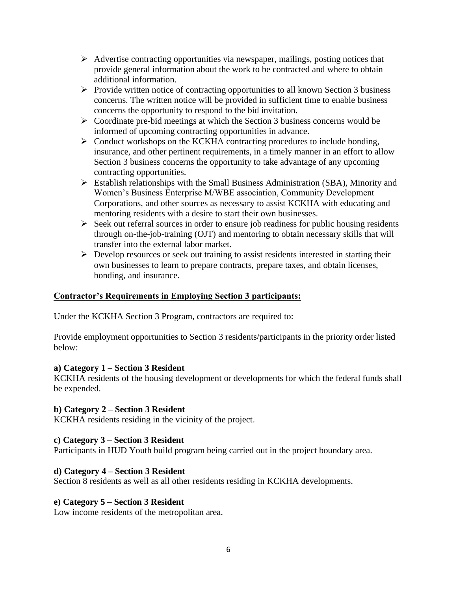- ➢ Advertise contracting opportunities via newspaper, mailings, posting notices that provide general information about the work to be contracted and where to obtain additional information.
- ➢ Provide written notice of contracting opportunities to all known Section 3 business concerns. The written notice will be provided in sufficient time to enable business concerns the opportunity to respond to the bid invitation.
- ➢ Coordinate pre-bid meetings at which the Section 3 business concerns would be informed of upcoming contracting opportunities in advance.
- ➢ Conduct workshops on the KCKHA contracting procedures to include bonding, insurance, and other pertinent requirements, in a timely manner in an effort to allow Section 3 business concerns the opportunity to take advantage of any upcoming contracting opportunities.
- ➢ Establish relationships with the Small Business Administration (SBA), Minority and Women's Business Enterprise M/WBE association, Community Development Corporations, and other sources as necessary to assist KCKHA with educating and mentoring residents with a desire to start their own businesses.
- ➢ Seek out referral sources in order to ensure job readiness for public housing residents through on-the-job-training (OJT) and mentoring to obtain necessary skills that will transfer into the external labor market.
- ➢ Develop resources or seek out training to assist residents interested in starting their own businesses to learn to prepare contracts, prepare taxes, and obtain licenses, bonding, and insurance.

## **Contractor's Requirements in Employing Section 3 participants:**

Under the KCKHA Section 3 Program, contractors are required to:

Provide employment opportunities to Section 3 residents/participants in the priority order listed below:

#### **a) Category 1 – Section 3 Resident**

KCKHA residents of the housing development or developments for which the federal funds shall be expended.

#### **b) Category 2 – Section 3 Resident**

KCKHA residents residing in the vicinity of the project.

#### **c) Category 3 – Section 3 Resident**

Participants in HUD Youth build program being carried out in the project boundary area.

#### **d) Category 4 – Section 3 Resident**

Section 8 residents as well as all other residents residing in KCKHA developments.

#### **e) Category 5 – Section 3 Resident**

Low income residents of the metropolitan area.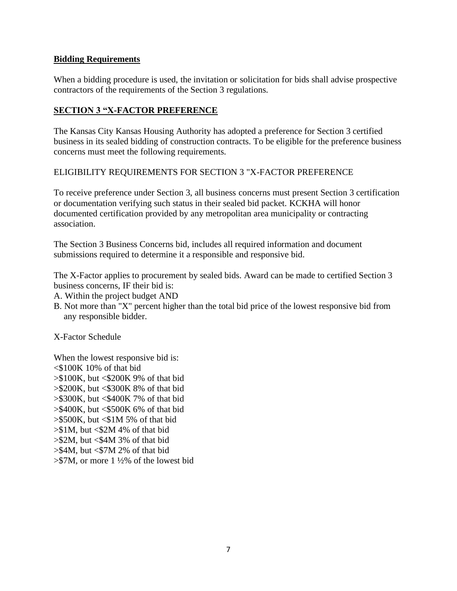#### **Bidding Requirements**

When a bidding procedure is used, the invitation or solicitation for bids shall advise prospective contractors of the requirements of the Section 3 regulations.

## **SECTION 3 "X-FACTOR PREFERENCE**

The Kansas City Kansas Housing Authority has adopted a preference for Section 3 certified business in its sealed bidding of construction contracts. To be eligible for the preference business concerns must meet the following requirements.

## ELIGIBILITY REQUIREMENTS FOR SECTION 3 "X-FACTOR PREFERENCE

To receive preference under Section 3, all business concerns must present Section 3 certification or documentation verifying such status in their sealed bid packet. KCKHA will honor documented certification provided by any metropolitan area municipality or contracting association.

The Section 3 Business Concerns bid, includes all required information and document submissions required to determine it a responsible and responsive bid.

The X-Factor applies to procurement by sealed bids. Award can be made to certified Section 3 business concerns, IF their bid is:

- A. Within the project budget AND
- B. Not more than "X" percent higher than the total bid price of the lowest responsive bid from any responsible bidder.

X-Factor Schedule

When the lowest responsive bid is:  $\leq$ \$100K 10% of that bid  $> $100K$ , but  $< $200K 9%$  of that bid  $>\$200K$ , but  $<\$300K$  8% of that bid  $>\$300K$ , but  $<\$400K$  7% of that bid >\$400K, but <\$500K 6% of that bid  $>$ \$500K, but  $<$ \$1M 5% of that bid  $> $1M$ , but <\$2M 4% of that bid  $> $2M$ , but  $< $4M 3\%$  of that bid  $>\$4M$ , but <\$7M 2% of that bid  $> $7M$ , or more 1  $\frac{1}{2}\%$  of the lowest bid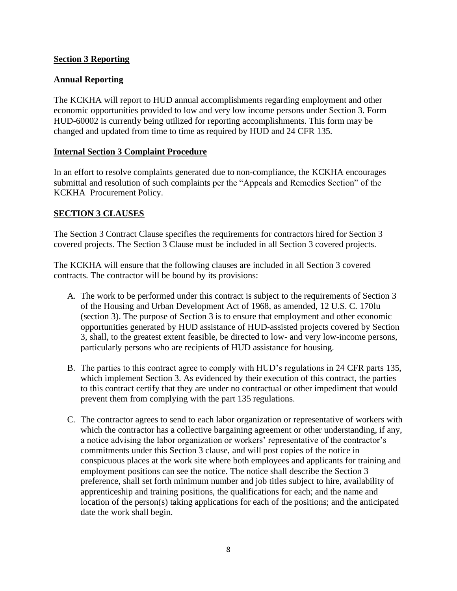### **Section 3 Reporting**

### **Annual Reporting**

The KCKHA will report to HUD annual accomplishments regarding employment and other economic opportunities provided to low and very low income persons under Section 3. Form HUD-60002 is currently being utilized for reporting accomplishments. This form may be changed and updated from time to time as required by HUD and 24 CFR 135.

#### **Internal Section 3 Complaint Procedure**

In an effort to resolve complaints generated due to non-compliance, the KCKHA encourages submittal and resolution of such complaints per the "Appeals and Remedies Section" of the KCKHA Procurement Policy.

### **SECTION 3 CLAUSES**

The Section 3 Contract Clause specifies the requirements for contractors hired for Section 3 covered projects. The Section 3 Clause must be included in all Section 3 covered projects.

The KCKHA will ensure that the following clauses are included in all Section 3 covered contracts. The contractor will be bound by its provisions:

- A. The work to be performed under this contract is subject to the requirements of Section 3 of the Housing and Urban Development Act of 1968, as amended, 12 U.S. C. 170lu (section 3). The purpose of Section 3 is to ensure that employment and other economic opportunities generated by HUD assistance of HUD-assisted projects covered by Section 3, shall, to the greatest extent feasible, be directed to low- and very low-income persons, particularly persons who are recipients of HUD assistance for housing.
- B. The parties to this contract agree to comply with HUD's regulations in 24 CFR parts 135, which implement Section 3. As evidenced by their execution of this contract, the parties to this contract certify that they are under no contractual or other impediment that would prevent them from complying with the part 135 regulations.
- C. The contractor agrees to send to each labor organization or representative of workers with which the contractor has a collective bargaining agreement or other understanding, if any, a notice advising the labor organization or workers' representative of the contractor's commitments under this Section 3 clause, and will post copies of the notice in conspicuous places at the work site where both employees and applicants for training and employment positions can see the notice. The notice shall describe the Section 3 preference, shall set forth minimum number and job titles subject to hire, availability of apprenticeship and training positions, the qualifications for each; and the name and location of the person(s) taking applications for each of the positions; and the anticipated date the work shall begin.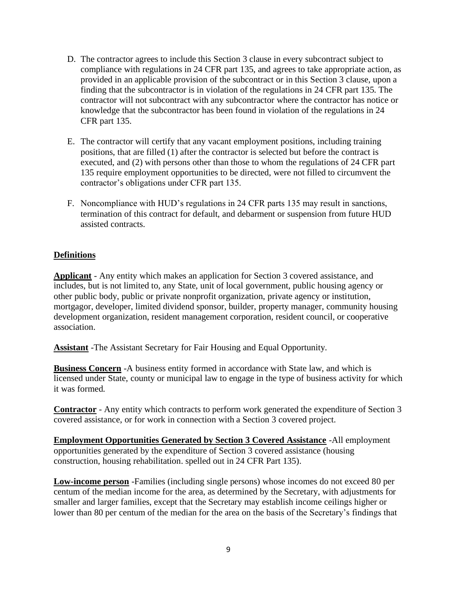- D. The contractor agrees to include this Section 3 clause in every subcontract subject to compliance with regulations in 24 CFR part 135, and agrees to take appropriate action, as provided in an applicable provision of the subcontract or in this Section 3 clause, upon a finding that the subcontractor is in violation of the regulations in 24 CFR part 135. The contractor will not subcontract with any subcontractor where the contractor has notice or knowledge that the subcontractor has been found in violation of the regulations in 24 CFR part 135.
- E. The contractor will certify that any vacant employment positions, including training positions, that are filled (1) after the contractor is selected but before the contract is executed, and (2) with persons other than those to whom the regulations of 24 CFR part 135 require employment opportunities to be directed, were not filled to circumvent the contractor's obligations under CFR part 135.
- F. Noncompliance with HUD's regulations in 24 CFR parts 135 may result in sanctions, termination of this contract for default, and debarment or suspension from future HUD assisted contracts.

### **Definitions**

**Applicant** - Any entity which makes an application for Section 3 covered assistance, and includes, but is not limited to, any State, unit of local government, public housing agency or other public body, public or private nonprofit organization, private agency or institution, mortgagor, developer, limited dividend sponsor, builder, property manager, community housing development organization, resident management corporation, resident council, or cooperative association.

**Assistant** -The Assistant Secretary for Fair Housing and Equal Opportunity.

**Business Concern** -A business entity formed in accordance with State law, and which is licensed under State, county or municipal law to engage in the type of business activity for which it was formed.

**Contractor** - Any entity which contracts to perform work generated the expenditure of Section 3 covered assistance, or for work in connection with a Section 3 covered project.

**Employment Opportunities Generated by Section 3 Covered Assistance** -All employment opportunities generated by the expenditure of Section 3 covered assistance (housing construction, housing rehabilitation. spelled out in 24 CFR Part 135).

**Low-income person** -Families (including single persons) whose incomes do not exceed 80 per centum of the median income for the area, as determined by the Secretary, with adjustments for smaller and larger families, except that the Secretary may establish income ceilings higher or lower than 80 per centum of the median for the area on the basis of the Secretary's findings that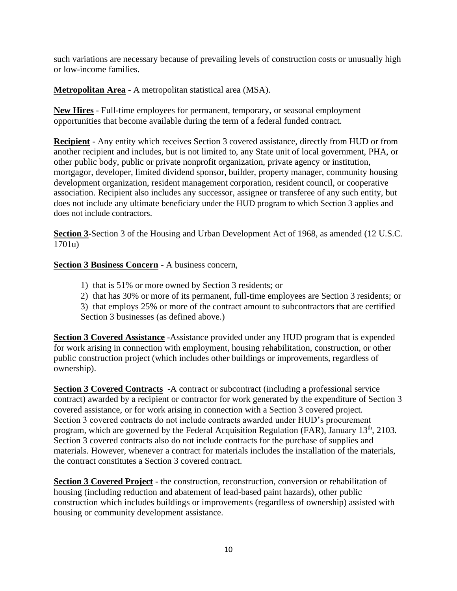such variations are necessary because of prevailing levels of construction costs or unusually high or low-income families.

**Metropolitan Area** - A metropolitan statistical area (MSA).

**New Hires** - Full-time employees for permanent, temporary, or seasonal employment opportunities that become available during the term of a federal funded contract.

**Recipient** - Any entity which receives Section 3 covered assistance, directly from HUD or from another recipient and includes, but is not limited to, any State unit of local government, PHA, or other public body, public or private nonprofit organization, private agency or institution, mortgagor, developer, limited dividend sponsor, builder, property manager, community housing development organization, resident management corporation, resident council, or cooperative association. Recipient also includes any successor, assignee or transferee of any such entity, but does not include any ultimate beneficiary under the HUD program to which Section 3 applies and does not include contractors.

**Section 3**-Section 3 of the Housing and Urban Development Act of 1968, as amended (12 U.S.C. 1701u)

**Section 3 Business Concern** - A business concern,

- 1) that is 51% or more owned by Section 3 residents; or
- 2) that has 30% or more of its permanent, full-time employees are Section 3 residents; or
- 3) that employs 25% or more of the contract amount to subcontractors that are certified Section 3 businesses (as defined above.)

**Section 3 Covered Assistance** -Assistance provided under any HUD program that is expended for work arising in connection with employment, housing rehabilitation, construction, or other public construction project (which includes other buildings or improvements, regardless of ownership).

**Section 3 Covered Contracts** -A contract or subcontract (including a professional service contract) awarded by a recipient or contractor for work generated by the expenditure of Section 3 covered assistance, or for work arising in connection with a Section 3 covered project. Section 3 covered contracts do not include contracts awarded under HUD's procurement program, which are governed by the Federal Acquisition Regulation (FAR), January 13<sup>th</sup>, 2103. Section 3 covered contracts also do not include contracts for the purchase of supplies and materials. However, whenever a contract for materials includes the installation of the materials, the contract constitutes a Section 3 covered contract.

**Section 3 Covered Project** - the construction, reconstruction, conversion or rehabilitation of housing (including reduction and abatement of lead-based paint hazards), other public construction which includes buildings or improvements (regardless of ownership) assisted with housing or community development assistance.